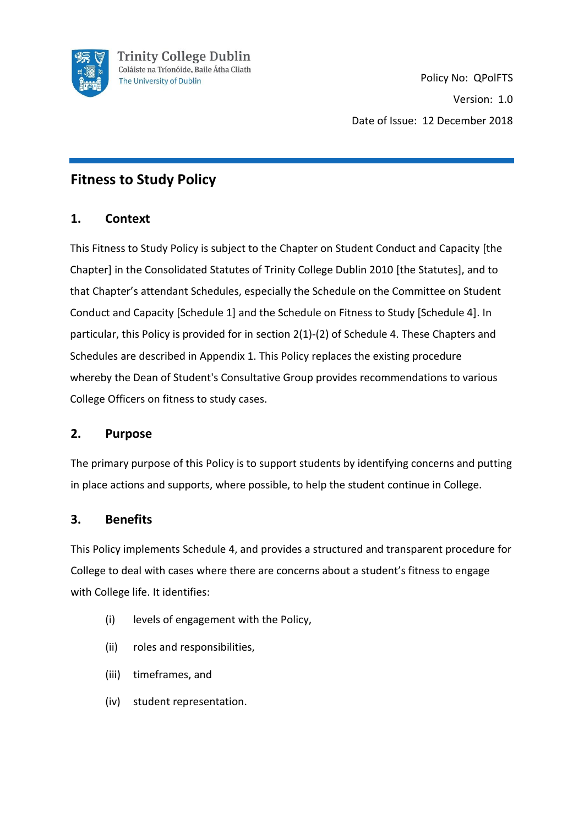

## **Fitness to Study Policy**

## **1. Context**

This Fitness to Study Policy is subject to the Chapter on Student Conduct and Capacity [the Chapter] in the Consolidated Statutes of Trinity College Dublin 2010 [the Statutes], and to that Chapter's attendant Schedules, especially the Schedule on the Committee on Student Conduct and Capacity [Schedule 1] and the Schedule on Fitness to Study [Schedule 4]. In particular, this Policy is provided for in section 2(1)-(2) of Schedule 4. These Chapters and Schedules are described in Appendix 1. This Policy replaces the existing procedure whereby the Dean of Student's Consultative Group provides recommendations to various College Officers on fitness to study cases.

## **2. Purpose**

The primary purpose of this Policy is to support students by identifying concerns and putting in place actions and supports, where possible, to help the student continue in College.

## **3. Benefits**

This Policy implements Schedule 4, and provides a structured and transparent procedure for College to deal with cases where there are concerns about a student's fitness to engage with College life. It identifies:

- (i) levels of engagement with the Policy,
- (ii) roles and responsibilities,
- (iii) timeframes, and
- (iv) student representation.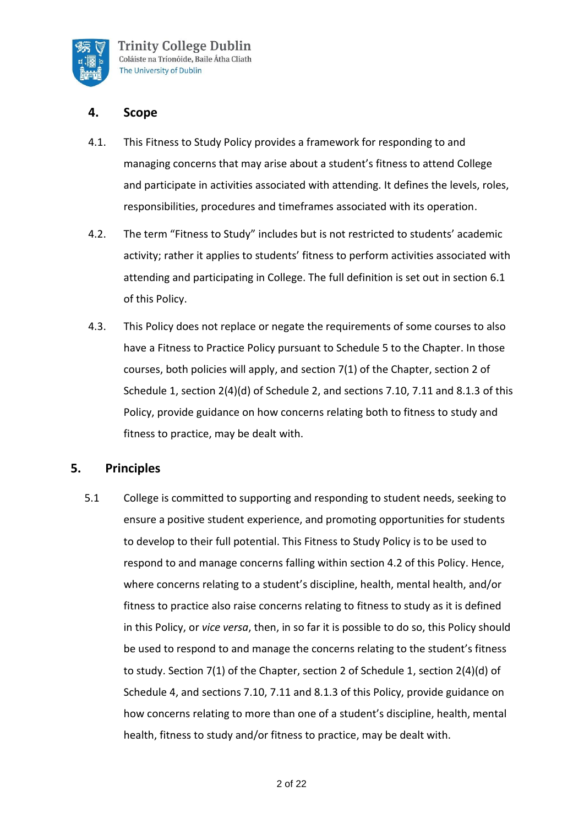

### **4. Scope**

- 4.1. This Fitness to Study Policy provides a framework for responding to and managing concerns that may arise about a student's fitness to attend College and participate in activities associated with attending. It defines the levels, roles, responsibilities, procedures and timeframes associated with its operation.
- 4.2. The term "Fitness to Study" includes but is not restricted to students' academic activity; rather it applies to students' fitness to perform activities associated with attending and participating in College. The full definition is set out in section 6.1 of this Policy.
- 4.3. This Policy does not replace or negate the requirements of some courses to also have a Fitness to Practice Policy pursuant to Schedule 5 to the Chapter. In those courses, both policies will apply, and section 7(1) of the Chapter, section 2 of Schedule 1, section 2(4)(d) of Schedule 2, and sections 7.10, 7.11 and 8.1.3 of this Policy, provide guidance on how concerns relating both to fitness to study and fitness to practice, may be dealt with.

## **5. Principles**

5.1 College is committed to supporting and responding to student needs, seeking to ensure a positive student experience, and promoting opportunities for students to develop to their full potential. This Fitness to Study Policy is to be used to respond to and manage concerns falling within section 4.2 of this Policy. Hence, where concerns relating to a student's discipline, health, mental health, and/or fitness to practice also raise concerns relating to fitness to study as it is defined in this Policy, or *vice versa*, then, in so far it is possible to do so, this Policy should be used to respond to and manage the concerns relating to the student's fitness to study. Section 7(1) of the Chapter, section 2 of Schedule 1, section 2(4)(d) of Schedule 4, and sections 7.10, 7.11 and 8.1.3 of this Policy, provide guidance on how concerns relating to more than one of a student's discipline, health, mental health, fitness to study and/or fitness to practice, may be dealt with.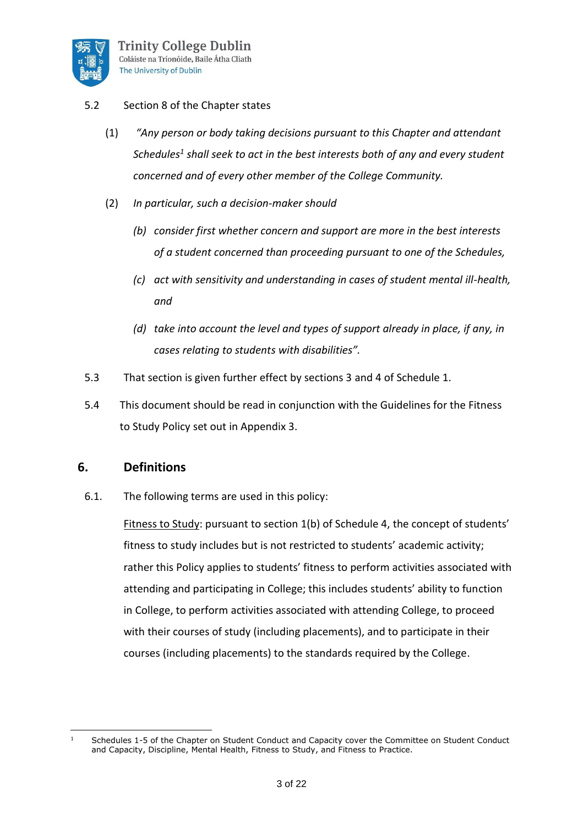

### 5.2 Section 8 of the Chapter states

- (1) *"Any person or body taking decisions pursuant to this Chapter and attendant Schedules<sup>1</sup> shall seek to act in the best interests both of any and every student concerned and of every other member of the College Community.*
- (2) *In particular, such a decision-maker should* 
	- *(b) consider first whether concern and support are more in the best interests of a student concerned than proceeding pursuant to one of the Schedules,*
	- *(c) act with sensitivity and understanding in cases of student mental ill-health, and*
	- *(d) take into account the level and types of support already in place, if any, in cases relating to students with disabilities".*
- 5.3 That section is given further effect by sections 3 and 4 of Schedule 1.
- 5.4 This document should be read in conjunction with the Guidelines for the Fitness to Study Policy set out in Appendix 3.

### **6. Definitions**

6.1. The following terms are used in this policy:

Fitness to Study: pursuant to section 1(b) of Schedule 4, the concept of students' fitness to study includes but is not restricted to students' academic activity; rather this Policy applies to students' fitness to perform activities associated with attending and participating in College; this includes students' ability to function in College, to perform activities associated with attending College, to proceed with their courses of study (including placements), and to participate in their courses (including placements) to the standards required by the College.

 $1$  Schedules 1-5 of the Chapter on Student Conduct and Capacity cover the Committee on Student Conduct and Capacity, Discipline, Mental Health, Fitness to Study, and Fitness to Practice.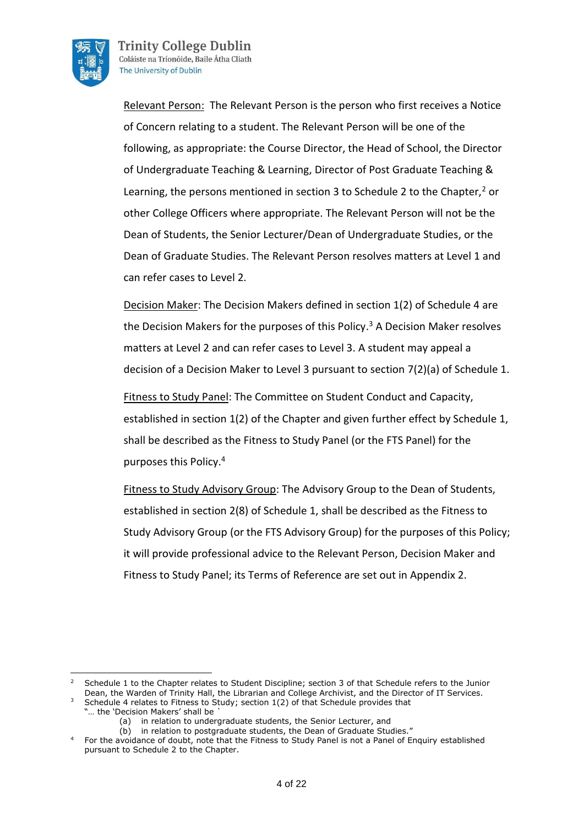

**Trinity College Dublin** Coláiste na Tríonóide, Baile Átha Cliath The University of Dublin

Relevant Person: The Relevant Person is the person who first receives a Notice of Concern relating to a student. The Relevant Person will be one of the following, as appropriate: the Course Director, the Head of School, the Director of Undergraduate Teaching & Learning, Director of Post Graduate Teaching & Learning, the persons mentioned in section 3 to Schedule 2 to the Chapter, $2$  or other College Officers where appropriate. The Relevant Person will not be the Dean of Students, the Senior Lecturer/Dean of Undergraduate Studies, or the Dean of Graduate Studies. The Relevant Person resolves matters at Level 1 and can refer cases to Level 2.

Decision Maker: The Decision Makers defined in section 1(2) of Schedule 4 are the Decision Makers for the purposes of this Policy.<sup>3</sup> A Decision Maker resolves matters at Level 2 and can refer cases to Level 3. A student may appeal a decision of a Decision Maker to Level 3 pursuant to section 7(2)(a) of Schedule 1.

Fitness to Study Panel: The Committee on Student Conduct and Capacity, established in section 1(2) of the Chapter and given further effect by Schedule 1, shall be described as the Fitness to Study Panel (or the FTS Panel) for the purposes this Policy.<sup>4</sup>

Fitness to Study Advisory Group: The Advisory Group to the Dean of Students, established in section 2(8) of Schedule 1, shall be described as the Fitness to Study Advisory Group (or the FTS Advisory Group) for the purposes of this Policy; it will provide professional advice to the Relevant Person, Decision Maker and Fitness to Study Panel; its Terms of Reference are set out in Appendix 2.

<sup>2</sup> Schedule 1 to the Chapter relates to Student Discipline; section 3 of that Schedule refers to the Junior Dean, the Warden of Trinity Hall, the Librarian and College Archivist, and the Director of IT Services.

<sup>&</sup>lt;sup>3</sup> Schedule 4 relates to Fitness to Study; section 1(2) of that Schedule provides that "... the 'Decision Makers' shall be

<sup>(</sup>a) in relation to undergraduate students, the Senior Lecturer, and

<sup>(</sup>b) in relation to postgraduate students, the Dean of Graduate Studies."

<sup>4</sup> For the avoidance of doubt, note that the Fitness to Study Panel is not a Panel of Enquiry established pursuant to Schedule 2 to the Chapter.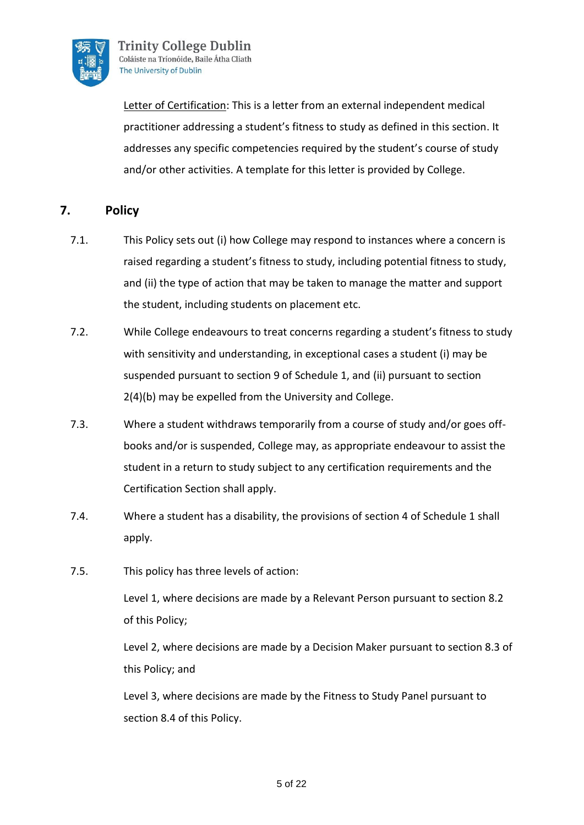

Letter of Certification: This is a letter from an external independent medical practitioner addressing a student's fitness to study as defined in this section. It addresses any specific competencies required by the student's course of study and/or other activities. A template for this letter is provided by College.

## **7. Policy**

- 7.1. This Policy sets out (i) how College may respond to instances where a concern is raised regarding a student's fitness to study, including potential fitness to study, and (ii) the type of action that may be taken to manage the matter and support the student, including students on placement etc.
- 7.2. While College endeavours to treat concerns regarding a student's fitness to study with sensitivity and understanding, in exceptional cases a student (i) may be suspended pursuant to section 9 of Schedule 1, and (ii) pursuant to section 2(4)(b) may be expelled from the University and College.
- 7.3. Where a student withdraws temporarily from a course of study and/or goes offbooks and/or is suspended, College may, as appropriate endeavour to assist the student in a return to study subject to any certification requirements and the Certification Section shall apply.
- 7.4. Where a student has a disability, the provisions of section 4 of Schedule 1 shall apply.
- 7.5. This policy has three levels of action:

Level 1, where decisions are made by a Relevant Person pursuant to section 8.2 of this Policy;

Level 2, where decisions are made by a Decision Maker pursuant to section 8.3 of this Policy; and

Level 3, where decisions are made by the Fitness to Study Panel pursuant to section 8.4 of this Policy.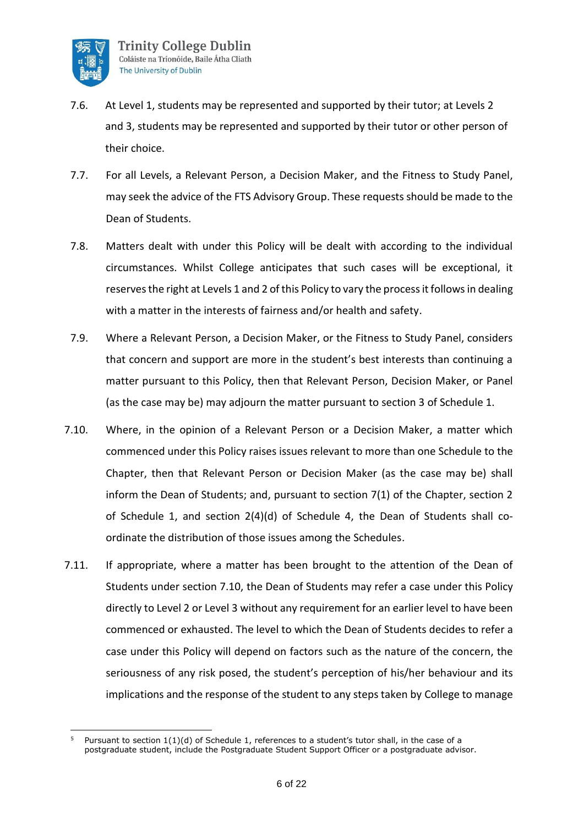

- 7.6. At Level 1, students may be represented and supported by their tutor; at Levels 2 and 3, students may be represented and supported by their tutor or other person of their choice.
- 7.7. For all Levels, a Relevant Person, a Decision Maker, and the Fitness to Study Panel, may seek the advice of the FTS Advisory Group. These requests should be made to the Dean of Students.
- 7.8. Matters dealt with under this Policy will be dealt with according to the individual circumstances. Whilst College anticipates that such cases will be exceptional, it reserves the right at Levels 1 and 2 of this Policy to vary the process it follows in dealing with a matter in the interests of fairness and/or health and safety.
- 7.9. Where a Relevant Person, a Decision Maker, or the Fitness to Study Panel, considers that concern and support are more in the student's best interests than continuing a matter pursuant to this Policy, then that Relevant Person, Decision Maker, or Panel (as the case may be) may adjourn the matter pursuant to section 3 of Schedule 1.
- 7.10. Where, in the opinion of a Relevant Person or a Decision Maker, a matter which commenced under this Policy raises issues relevant to more than one Schedule to the Chapter, then that Relevant Person or Decision Maker (as the case may be) shall inform the Dean of Students; and, pursuant to section 7(1) of the Chapter, section 2 of Schedule 1, and section 2(4)(d) of Schedule 4, the Dean of Students shall coordinate the distribution of those issues among the Schedules.
- 7.11. If appropriate, where a matter has been brought to the attention of the Dean of Students under section 7.10, the Dean of Students may refer a case under this Policy directly to Level 2 or Level 3 without any requirement for an earlier level to have been commenced or exhausted. The level to which the Dean of Students decides to refer a case under this Policy will depend on factors such as the nature of the concern, the seriousness of any risk posed, the student's perception of his/her behaviour and its implications and the response of the student to any steps taken by College to manage

Pursuant to section 1(1)(d) of Schedule 1, references to a student's tutor shall, in the case of a postgraduate student, include the Postgraduate Student Support Officer or a postgraduate advisor.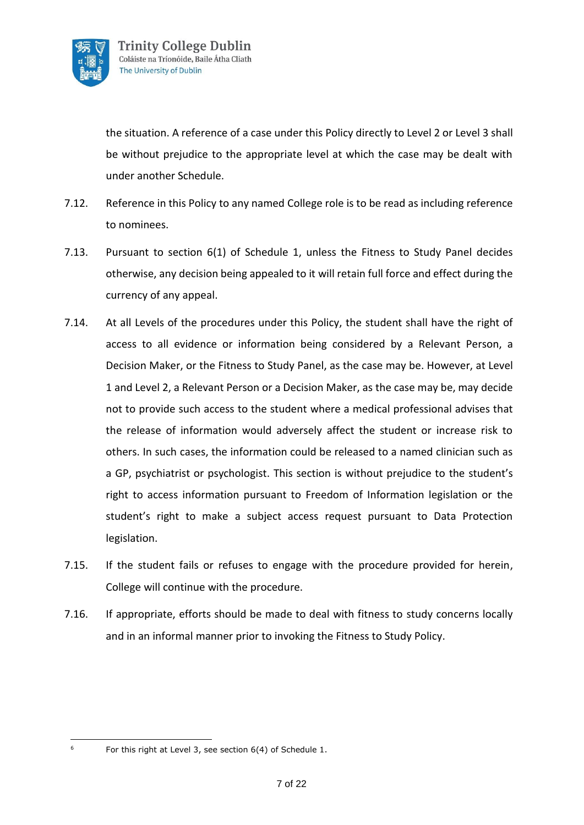

the situation. A reference of a case under this Policy directly to Level 2 or Level 3 shall be without prejudice to the appropriate level at which the case may be dealt with under another Schedule.

- 7.12. Reference in this Policy to any named College role is to be read as including reference to nominees.
- 7.13. Pursuant to section 6(1) of Schedule 1, unless the Fitness to Study Panel decides otherwise, any decision being appealed to it will retain full force and effect during the currency of any appeal.
- 7.14. At all Levels of the procedures under this Policy, the student shall have the right of access to all evidence or information being considered by a Relevant Person, a Decision Maker, or the Fitness to Study Panel, as the case may be. However, at Level 1 and Level 2, a Relevant Person or a Decision Maker, as the case may be, may decide not to provide such access to the student where a medical professional advises that the release of information would adversely affect the student or increase risk to others. In such cases, the information could be released to a named clinician such as a GP, psychiatrist or psychologist. This section is without prejudice to the student's right to access information pursuant to Freedom of Information legislation or the student's right to make a subject access request pursuant to Data Protection legislation.
- 7.15. If the student fails or refuses to engage with the procedure provided for herein, College will continue with the procedure.
- 7.16. If appropriate, efforts should be made to deal with fitness to study concerns locally and in an informal manner prior to invoking the Fitness to Study Policy.

For this right at Level 3, see section 6(4) of Schedule 1.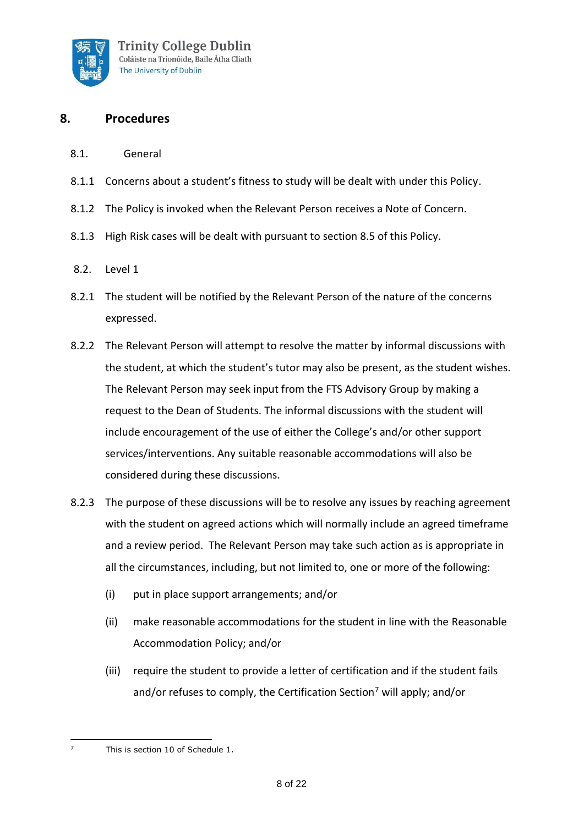

## **8. Procedures**

- 8.1. General
- 8.1.1 Concerns about a student's fitness to study will be dealt with under this Policy.
- 8.1.2 The Policy is invoked when the Relevant Person receives a Note of Concern.
- 8.1.3 High Risk cases will be dealt with pursuant to section 8.5 of this Policy.
- 8.2. Level 1
- 8.2.1 The student will be notified by the Relevant Person of the nature of the concerns expressed.
- 8.2.2 The Relevant Person will attempt to resolve the matter by informal discussions with the student, at which the student's tutor may also be present, as the student wishes. The Relevant Person may seek input from the FTS Advisory Group by making a request to the Dean of Students. The informal discussions with the student will include encouragement of the use of either the College's and/or other support services/interventions. Any suitable reasonable accommodations will also be considered during these discussions.
- 8.2.3 The purpose of these discussions will be to resolve any issues by reaching agreement with the student on agreed actions which will normally include an agreed timeframe and a review period. The Relevant Person may take such action as is appropriate in all the circumstances, including, but not limited to, one or more of the following:
	- (i) put in place support arrangements; and/or
	- (ii) make reasonable accommodations for the student in line with the Reasonable Accommodation Policy; and/or
	- (iii) require the student to provide a letter of certification and if the student fails and/or refuses to comply, the Certification Section<sup>7</sup> will apply; and/or

<sup>7</sup> This is section 10 of Schedule 1.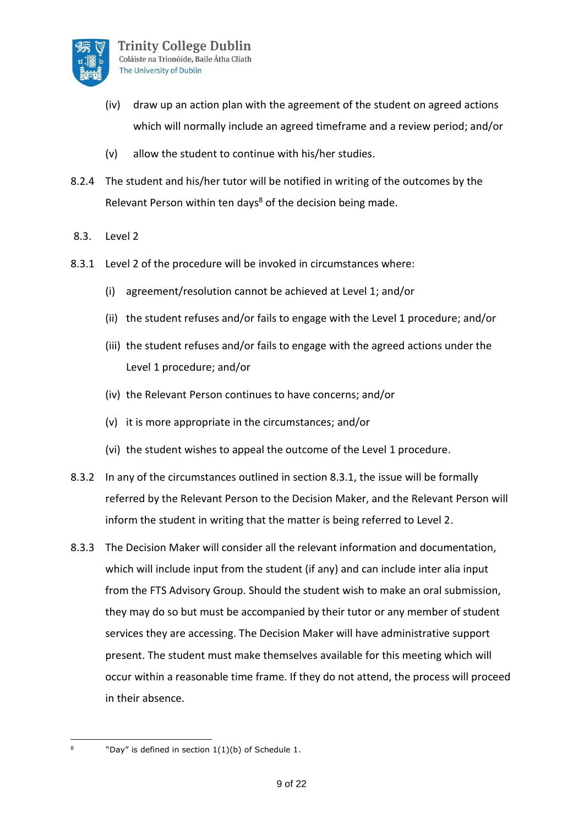

- (iv) draw up an action plan with the agreement of the student on agreed actions which will normally include an agreed timeframe and a review period; and/or
- (v) allow the student to continue with his/her studies.
- 8.2.4 The student and his/her tutor will be notified in writing of the outcomes by the Relevant Person within ten days<sup>8</sup> of the decision being made.
- 8.3. Level 2
- 8.3.1 Level 2 of the procedure will be invoked in circumstances where:
	- (i) agreement/resolution cannot be achieved at Level 1; and/or
	- (ii) the student refuses and/or fails to engage with the Level 1 procedure; and/or
	- (iii) the student refuses and/or fails to engage with the agreed actions under the Level 1 procedure; and/or
	- (iv) the Relevant Person continues to have concerns; and/or
	- (v) it is more appropriate in the circumstances; and/or
	- (vi) the student wishes to appeal the outcome of the Level 1 procedure.
- 8.3.2 In any of the circumstances outlined in section 8.3.1, the issue will be formally referred by the Relevant Person to the Decision Maker, and the Relevant Person will inform the student in writing that the matter is being referred to Level 2.
- 8.3.3 The Decision Maker will consider all the relevant information and documentation, which will include input from the student (if any) and can include inter alia input from the FTS Advisory Group. Should the student wish to make an oral submission, they may do so but must be accompanied by their tutor or any member of student services they are accessing. The Decision Maker will have administrative support present. The student must make themselves available for this meeting which will occur within a reasonable time frame. If they do not attend, the process will proceed in their absence.
- 8

<sup>&</sup>quot;Day" is defined in section 1(1)(b) of Schedule 1.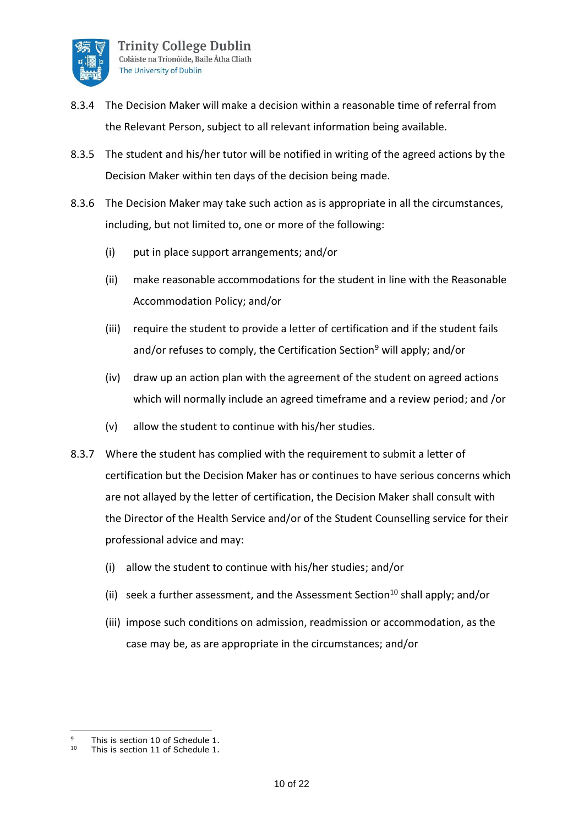

- 8.3.4 The Decision Maker will make a decision within a reasonable time of referral from the Relevant Person, subject to all relevant information being available.
- 8.3.5 The student and his/her tutor will be notified in writing of the agreed actions by the Decision Maker within ten days of the decision being made.
- 8.3.6 The Decision Maker may take such action as is appropriate in all the circumstances, including, but not limited to, one or more of the following:
	- (i) put in place support arrangements; and/or
	- (ii) make reasonable accommodations for the student in line with the Reasonable Accommodation Policy; and/or
	- (iii) require the student to provide a letter of certification and if the student fails and/or refuses to comply, the Certification Section<sup>9</sup> will apply; and/or
	- (iv) draw up an action plan with the agreement of the student on agreed actions which will normally include an agreed timeframe and a review period; and /or
	- (v) allow the student to continue with his/her studies.
- 8.3.7 Where the student has complied with the requirement to submit a letter of certification but the Decision Maker has or continues to have serious concerns which are not allayed by the letter of certification, the Decision Maker shall consult with the Director of the Health Service and/or of the Student Counselling service for their professional advice and may:
	- (i) allow the student to continue with his/her studies; and/or
	- (ii) seek a further assessment, and the Assessment Section<sup>10</sup> shall apply; and/or
	- (iii) impose such conditions on admission, readmission or accommodation, as the case may be, as are appropriate in the circumstances; and/or

 $\alpha$ This is section 10 of Schedule 1.

<sup>10</sup> This is section 11 of Schedule 1.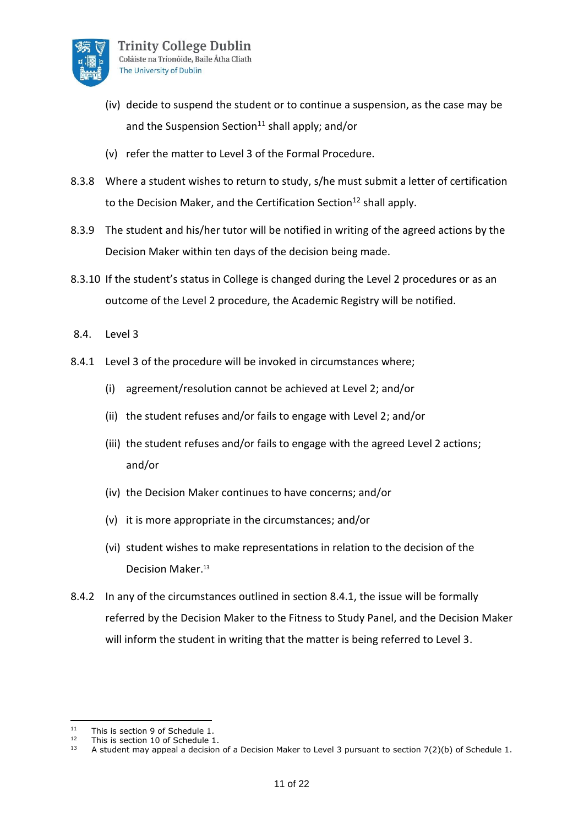

- (iv) decide to suspend the student or to continue a suspension, as the case may be and the Suspension Section<sup>11</sup> shall apply; and/or
- (v) refer the matter to Level 3 of the Formal Procedure.
- 8.3.8 Where a student wishes to return to study, s/he must submit a letter of certification to the Decision Maker, and the Certification Section<sup>12</sup> shall apply.
- 8.3.9 The student and his/her tutor will be notified in writing of the agreed actions by the Decision Maker within ten days of the decision being made.
- 8.3.10 If the student's status in College is changed during the Level 2 procedures or as an outcome of the Level 2 procedure, the Academic Registry will be notified.
- 8.4. Level 3
- 8.4.1 Level 3 of the procedure will be invoked in circumstances where;
	- (i) agreement/resolution cannot be achieved at Level 2; and/or
	- (ii) the student refuses and/or fails to engage with Level 2; and/or
	- (iii) the student refuses and/or fails to engage with the agreed Level 2 actions; and/or
	- (iv) the Decision Maker continues to have concerns; and/or
	- (v) it is more appropriate in the circumstances; and/or
	- (vi) student wishes to make representations in relation to the decision of the Decision Maker.<sup>13</sup>
- 8.4.2 In any of the circumstances outlined in section 8.4.1, the issue will be formally referred by the Decision Maker to the Fitness to Study Panel, and the Decision Maker will inform the student in writing that the matter is being referred to Level 3.

<sup>&</sup>lt;sup>11</sup> This is section 9 of Schedule 1.<br><sup>12</sup> This is section 10 of Schedule 1.

<sup>&</sup>lt;sup>12</sup> This is section 10 of Schedule 1.<br> $\frac{13}{13}$  A student may appeal a decision

A student may appeal a decision of a Decision Maker to Level 3 pursuant to section 7(2)(b) of Schedule 1.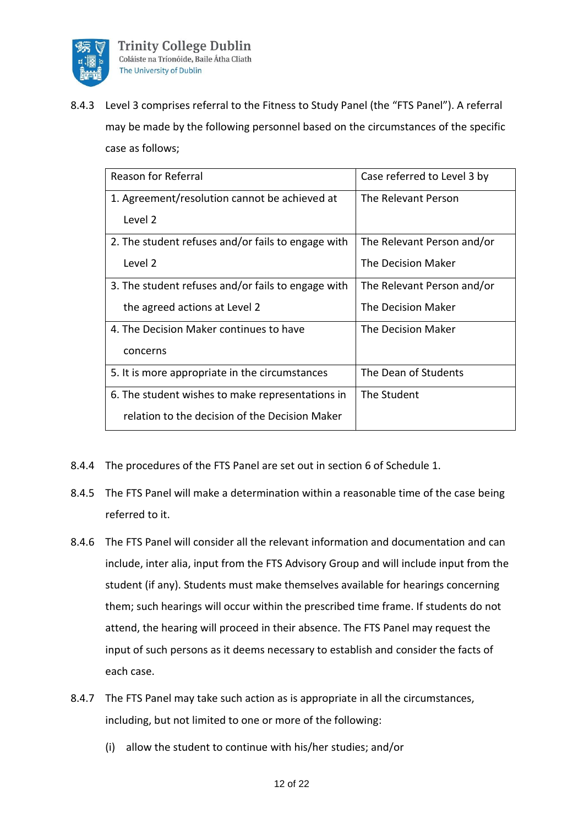

8.4.3 Level 3 comprises referral to the Fitness to Study Panel (the "FTS Panel"). A referral may be made by the following personnel based on the circumstances of the specific case as follows;

| <b>Reason for Referral</b>                         | Case referred to Level 3 by |
|----------------------------------------------------|-----------------------------|
| 1. Agreement/resolution cannot be achieved at      | The Relevant Person         |
| Level 2                                            |                             |
| 2. The student refuses and/or fails to engage with | The Relevant Person and/or  |
| Level 2                                            | The Decision Maker          |
| 3. The student refuses and/or fails to engage with | The Relevant Person and/or  |
| the agreed actions at Level 2                      | The Decision Maker          |
| 4. The Decision Maker continues to have            | The Decision Maker          |
| concerns                                           |                             |
| 5. It is more appropriate in the circumstances     | The Dean of Students        |
| 6. The student wishes to make representations in   | The Student                 |
| relation to the decision of the Decision Maker     |                             |

- 8.4.4 The procedures of the FTS Panel are set out in section 6 of Schedule 1.
- 8.4.5 The FTS Panel will make a determination within a reasonable time of the case being referred to it.
- 8.4.6 The FTS Panel will consider all the relevant information and documentation and can include, inter alia, input from the FTS Advisory Group and will include input from the student (if any). Students must make themselves available for hearings concerning them; such hearings will occur within the prescribed time frame. If students do not attend, the hearing will proceed in their absence. The FTS Panel may request the input of such persons as it deems necessary to establish and consider the facts of each case.
- 8.4.7 The FTS Panel may take such action as is appropriate in all the circumstances, including, but not limited to one or more of the following:
	- (i) allow the student to continue with his/her studies; and/or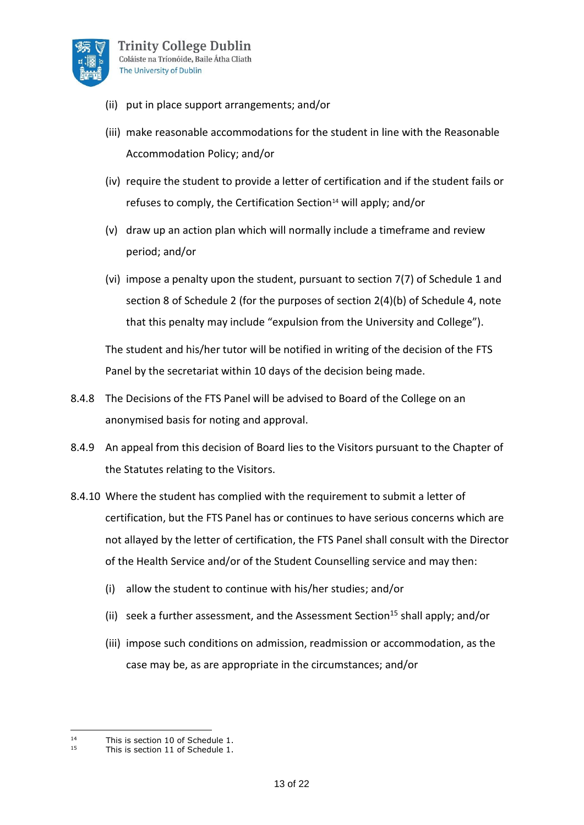

- (ii) put in place support arrangements; and/or
- (iii) make reasonable accommodations for the student in line with the Reasonable Accommodation Policy; and/or
- (iv) require the student to provide a letter of certification and if the student fails or refuses to comply, the Certification Section<sup>14</sup> will apply; and/or
- (v) draw up an action plan which will normally include a timeframe and review period; and/or
- (vi) impose a penalty upon the student, pursuant to section 7(7) of Schedule 1 and section 8 of Schedule 2 (for the purposes of section 2(4)(b) of Schedule 4, note that this penalty may include "expulsion from the University and College").

The student and his/her tutor will be notified in writing of the decision of the FTS Panel by the secretariat within 10 days of the decision being made.

- 8.4.8 The Decisions of the FTS Panel will be advised to Board of the College on an anonymised basis for noting and approval.
- 8.4.9 An appeal from this decision of Board lies to the Visitors pursuant to the Chapter of the Statutes relating to the Visitors.
- 8.4.10 Where the student has complied with the requirement to submit a letter of certification, but the FTS Panel has or continues to have serious concerns which are not allayed by the letter of certification, the FTS Panel shall consult with the Director of the Health Service and/or of the Student Counselling service and may then:
	- (i) allow the student to continue with his/her studies; and/or
	- (ii) seek a further assessment, and the Assessment Section<sup>15</sup> shall apply; and/or
	- (iii) impose such conditions on admission, readmission or accommodation, as the case may be, as are appropriate in the circumstances; and/or

<sup>&</sup>lt;sup>14</sup> This is section 10 of Schedule 1.<br><sup>15</sup> This is section 11 of Schedule 1.

This is section 11 of Schedule 1.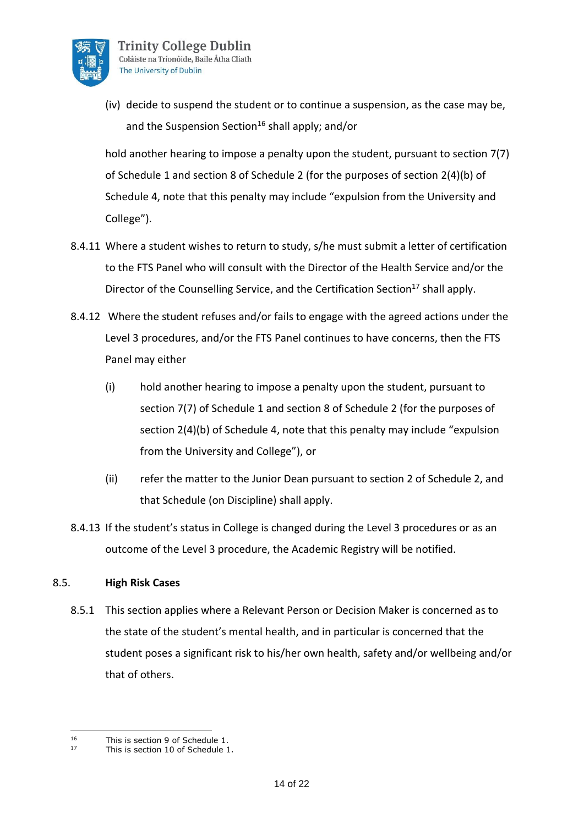

(iv) decide to suspend the student or to continue a suspension, as the case may be, and the Suspension Section<sup>16</sup> shall apply; and/or

hold another hearing to impose a penalty upon the student, pursuant to section 7(7) of Schedule 1 and section 8 of Schedule 2 (for the purposes of section 2(4)(b) of Schedule 4, note that this penalty may include "expulsion from the University and College").

- 8.4.11 Where a student wishes to return to study, s/he must submit a letter of certification to the FTS Panel who will consult with the Director of the Health Service and/or the Director of the Counselling Service, and the Certification Section<sup>17</sup> shall apply.
- 8.4.12 Where the student refuses and/or fails to engage with the agreed actions under the Level 3 procedures, and/or the FTS Panel continues to have concerns, then the FTS Panel may either
	- (i) hold another hearing to impose a penalty upon the student, pursuant to section 7(7) of Schedule 1 and section 8 of Schedule 2 (for the purposes of section 2(4)(b) of Schedule 4, note that this penalty may include "expulsion from the University and College"), or
	- (ii) refer the matter to the Junior Dean pursuant to section 2 of Schedule 2, and that Schedule (on Discipline) shall apply.
- 8.4.13 If the student's status in College is changed during the Level 3 procedures or as an outcome of the Level 3 procedure, the Academic Registry will be notified.

### 8.5. **High Risk Cases**

8.5.1 This section applies where a Relevant Person or Decision Maker is concerned as to the state of the student's mental health, and in particular is concerned that the student poses a significant risk to his/her own health, safety and/or wellbeing and/or that of others.

<sup>&</sup>lt;sup>16</sup> This is section 9 of Schedule 1.<br><sup>17</sup> This is section 10 of Schedule 1.

This is section 10 of Schedule 1.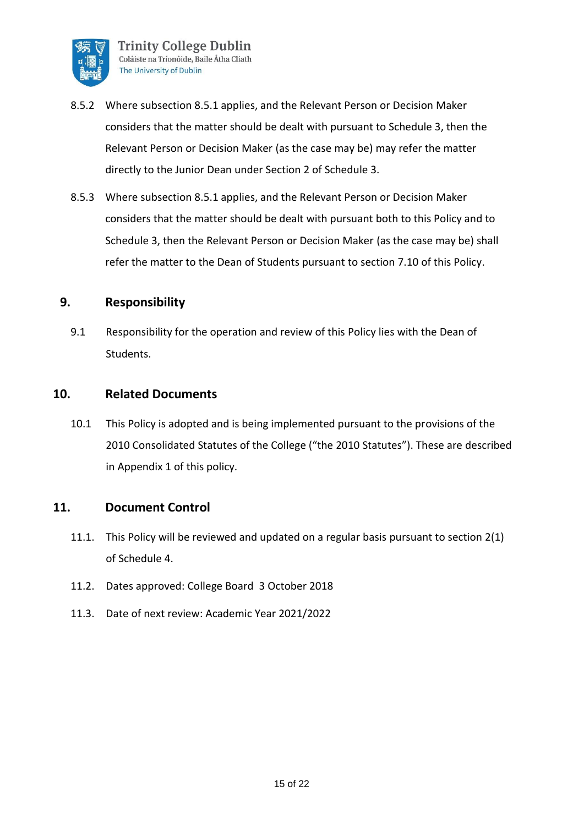

- 8.5.2 Where subsection 8.5.1 applies, and the Relevant Person or Decision Maker considers that the matter should be dealt with pursuant to Schedule 3, then the Relevant Person or Decision Maker (as the case may be) may refer the matter directly to the Junior Dean under Section 2 of Schedule 3.
- 8.5.3 Where subsection 8.5.1 applies, and the Relevant Person or Decision Maker considers that the matter should be dealt with pursuant both to this Policy and to Schedule 3, then the Relevant Person or Decision Maker (as the case may be) shall refer the matter to the Dean of Students pursuant to section 7.10 of this Policy.

### **9. Responsibility**

9.1 Responsibility for the operation and review of this Policy lies with the Dean of Students.

### **10. Related Documents**

10.1 This Policy is adopted and is being implemented pursuant to the provisions of the 2010 Consolidated Statutes of the College ("the 2010 Statutes"). These are described in Appendix 1 of this policy.

### **11. Document Control**

- 11.1. This Policy will be reviewed and updated on a regular basis pursuant to section 2(1) of Schedule 4.
- 11.2. Dates approved: College Board 3 October 2018
- 11.3. Date of next review: Academic Year 2021/2022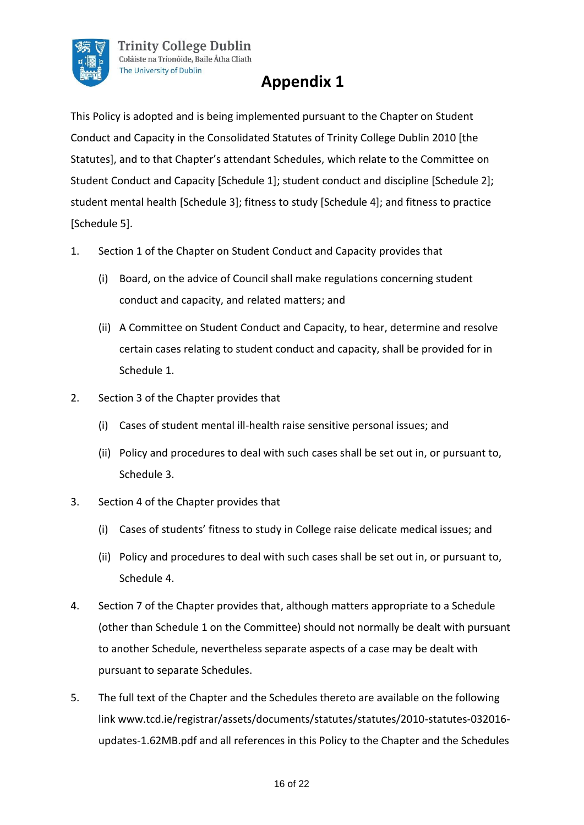

## **Appendix 1**

This Policy is adopted and is being implemented pursuant to the Chapter on Student Conduct and Capacity in the Consolidated Statutes of Trinity College Dublin 2010 [the Statutes], and to that Chapter's attendant Schedules, which relate to the Committee on Student Conduct and Capacity [Schedule 1]; student conduct and discipline [Schedule 2]; student mental health [Schedule 3]; fitness to study [Schedule 4]; and fitness to practice [Schedule 5].

- 1. Section 1 of the Chapter on Student Conduct and Capacity provides that
	- (i) Board, on the advice of Council shall make regulations concerning student conduct and capacity, and related matters; and
	- (ii) A Committee on Student Conduct and Capacity, to hear, determine and resolve certain cases relating to student conduct and capacity, shall be provided for in Schedule 1.
- 2. Section 3 of the Chapter provides that
	- (i) Cases of student mental ill-health raise sensitive personal issues; and
	- (ii) Policy and procedures to deal with such cases shall be set out in, or pursuant to, Schedule 3.
- 3. Section 4 of the Chapter provides that
	- (i) Cases of students' fitness to study in College raise delicate medical issues; and
	- (ii) Policy and procedures to deal with such cases shall be set out in, or pursuant to, Schedule 4.
- 4. Section 7 of the Chapter provides that, although matters appropriate to a Schedule (other than Schedule 1 on the Committee) should not normally be dealt with pursuant to another Schedule, nevertheless separate aspects of a case may be dealt with pursuant to separate Schedules.
- 5. The full text of the Chapter and the Schedules thereto are available on the following link www.tcd.ie/registrar/assets/documents/statutes/statutes/2010-statutes-032016 updates-1.62MB.pdf and all references in this Policy to the Chapter and the Schedules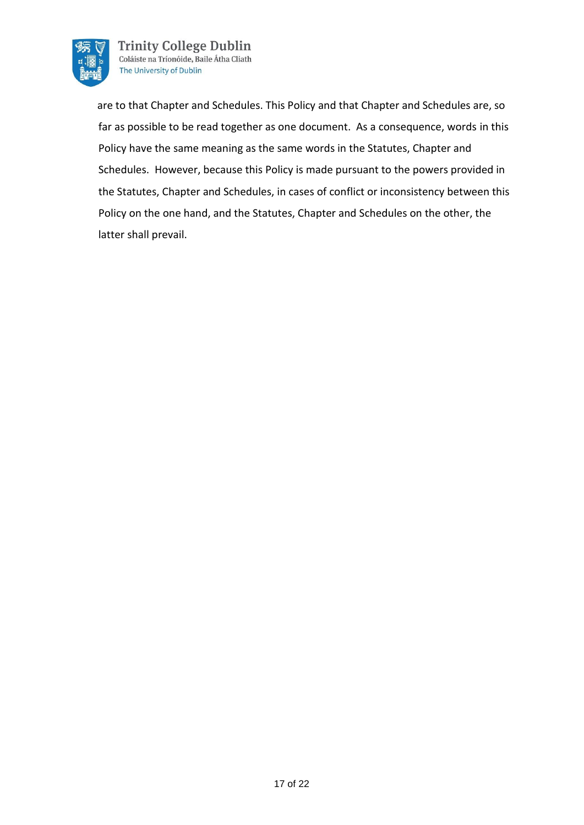

**Trinity College Dublin** Coláiste na Tríonóide, Baile Átha Cliath The University of Dublin

 are to that Chapter and Schedules. This Policy and that Chapter and Schedules are, so far as possible to be read together as one document. As a consequence, words in this Policy have the same meaning as the same words in the Statutes, Chapter and Schedules. However, because this Policy is made pursuant to the powers provided in the Statutes, Chapter and Schedules, in cases of conflict or inconsistency between this Policy on the one hand, and the Statutes, Chapter and Schedules on the other, the latter shall prevail.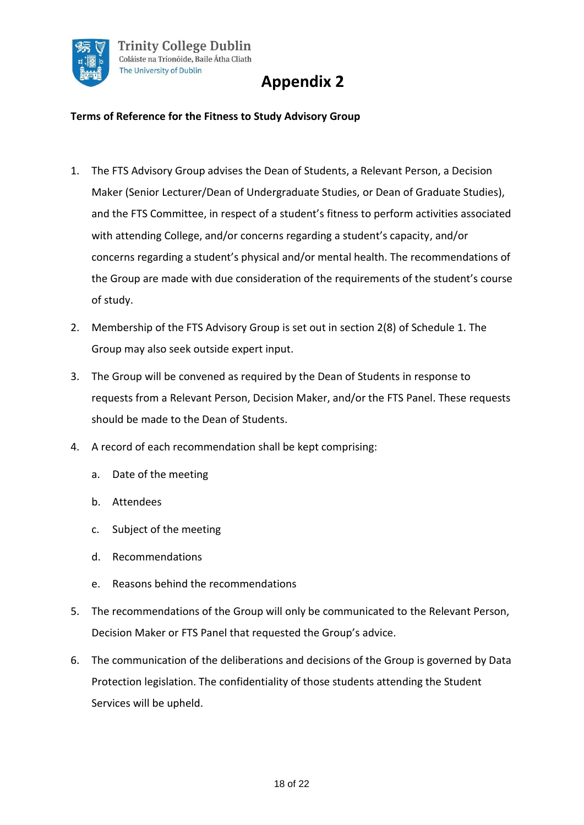

# **Appendix 2**

### **Terms of Reference for the Fitness to Study Advisory Group**

- 1. The FTS Advisory Group advises the Dean of Students, a Relevant Person, a Decision Maker (Senior Lecturer/Dean of Undergraduate Studies, or Dean of Graduate Studies), and the FTS Committee, in respect of a student's fitness to perform activities associated with attending College, and/or concerns regarding a student's capacity, and/or concerns regarding a student's physical and/or mental health. The recommendations of the Group are made with due consideration of the requirements of the student's course of study.
- 2. Membership of the FTS Advisory Group is set out in section 2(8) of Schedule 1. The Group may also seek outside expert input.
- 3. The Group will be convened as required by the Dean of Students in response to requests from a Relevant Person, Decision Maker, and/or the FTS Panel. These requests should be made to the Dean of Students.
- 4. A record of each recommendation shall be kept comprising:
	- a. Date of the meeting
	- b. Attendees
	- c. Subject of the meeting
	- d. Recommendations
	- e. Reasons behind the recommendations
- 5. The recommendations of the Group will only be communicated to the Relevant Person, Decision Maker or FTS Panel that requested the Group's advice.
- 6. The communication of the deliberations and decisions of the Group is governed by Data Protection legislation. The confidentiality of those students attending the Student Services will be upheld.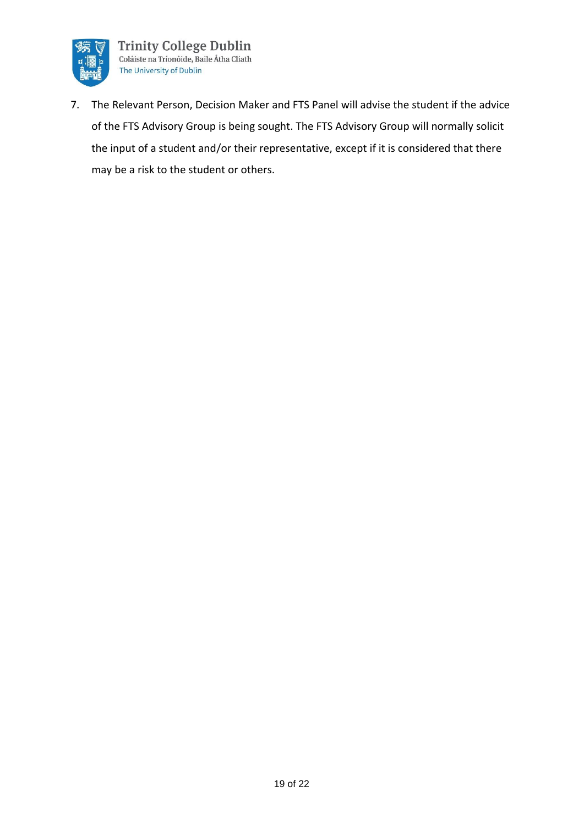

7. The Relevant Person, Decision Maker and FTS Panel will advise the student if the advice of the FTS Advisory Group is being sought. The FTS Advisory Group will normally solicit the input of a student and/or their representative, except if it is considered that there may be a risk to the student or others.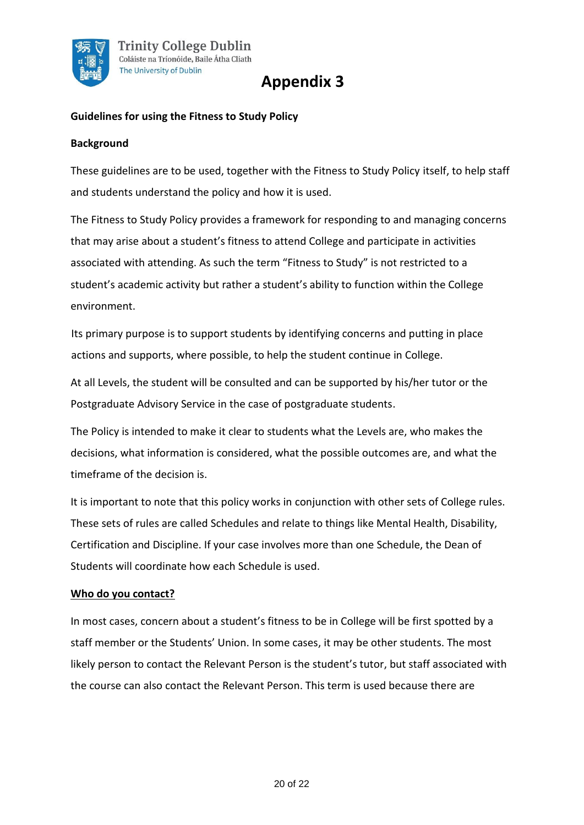

## **Appendix 3**

### **Guidelines for using the Fitness to Study Policy**

#### **Background**

These guidelines are to be used, together with the Fitness to Study Policy itself, to help staff and students understand the policy and how it is used.

The Fitness to Study Policy provides a framework for responding to and managing concerns that may arise about a student's fitness to attend College and participate in activities associated with attending. As such the term "Fitness to Study" is not restricted to a student's academic activity but rather a student's ability to function within the College environment.

Its primary purpose is to support students by identifying concerns and putting in place actions and supports, where possible, to help the student continue in College.

At all Levels, the student will be consulted and can be supported by his/her tutor or the Postgraduate Advisory Service in the case of postgraduate students.

The Policy is intended to make it clear to students what the Levels are, who makes the decisions, what information is considered, what the possible outcomes are, and what the timeframe of the decision is.

It is important to note that this policy works in conjunction with other sets of College rules. These sets of rules are called Schedules and relate to things like Mental Health, Disability, Certification and Discipline. If your case involves more than one Schedule, the Dean of Students will coordinate how each Schedule is used.

#### **Who do you contact?**

In most cases, concern about a student's fitness to be in College will be first spotted by a staff member or the Students' Union. In some cases, it may be other students. The most likely person to contact the Relevant Person is the student's tutor, but staff associated with the course can also contact the Relevant Person. This term is used because there are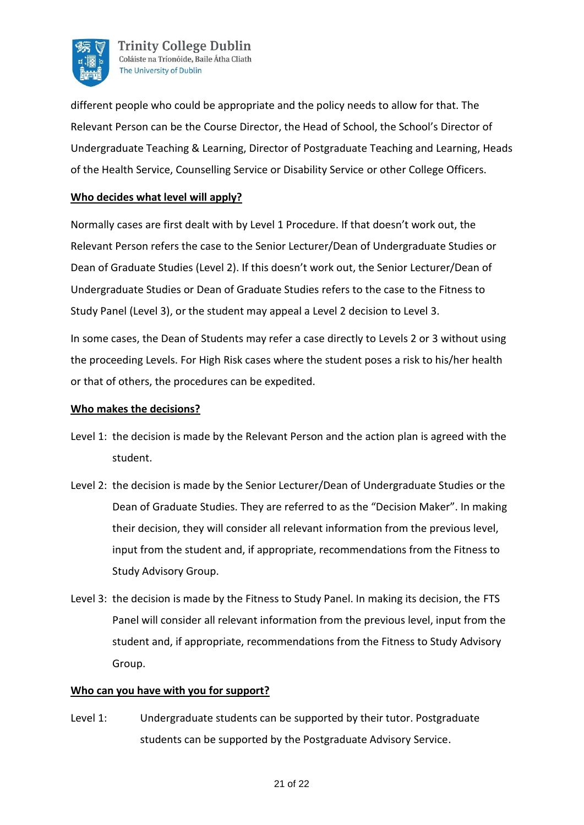

**Trinity College Dublin** Coláiste na Tríonóide, Baile Átha Cliath The University of Dublin

different people who could be appropriate and the policy needs to allow for that. The Relevant Person can be the Course Director, the Head of School, the School's Director of Undergraduate Teaching & Learning, Director of Postgraduate Teaching and Learning, Heads of the Health Service, Counselling Service or Disability Service or other College Officers.

### **Who decides what level will apply?**

Normally cases are first dealt with by Level 1 Procedure. If that doesn't work out, the Relevant Person refers the case to the Senior Lecturer/Dean of Undergraduate Studies or Dean of Graduate Studies (Level 2). If this doesn't work out, the Senior Lecturer/Dean of Undergraduate Studies or Dean of Graduate Studies refers to the case to the Fitness to Study Panel (Level 3), or the student may appeal a Level 2 decision to Level 3.

In some cases, the Dean of Students may refer a case directly to Levels 2 or 3 without using the proceeding Levels. For High Risk cases where the student poses a risk to his/her health or that of others, the procedures can be expedited.

### **Who makes the decisions?**

- Level 1: the decision is made by the Relevant Person and the action plan is agreed with the student.
- Level 2: the decision is made by the Senior Lecturer/Dean of Undergraduate Studies or the Dean of Graduate Studies. They are referred to as the "Decision Maker". In making their decision, they will consider all relevant information from the previous level, input from the student and, if appropriate, recommendations from the Fitness to Study Advisory Group.
- Level 3: the decision is made by the Fitness to Study Panel. In making its decision, the FTS Panel will consider all relevant information from the previous level, input from the student and, if appropriate, recommendations from the Fitness to Study Advisory Group.

#### **Who can you have with you for support?**

Level 1: Undergraduate students can be supported by their tutor. Postgraduate students can be supported by the Postgraduate Advisory Service.